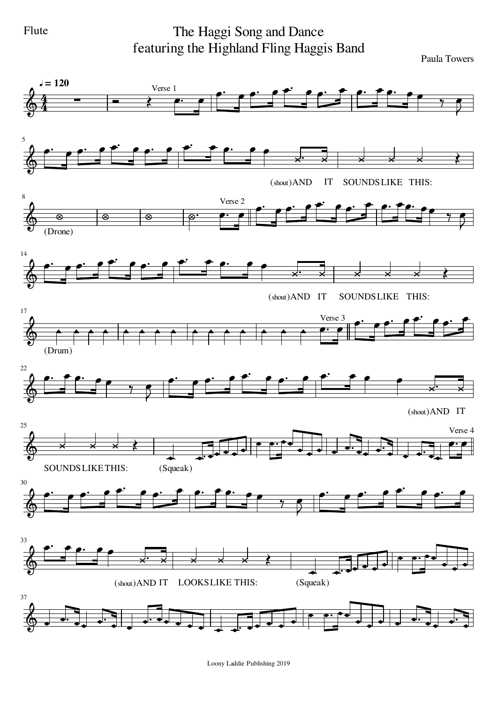Flute

The Haggi Song and Dance featuring the Highland Fling Haggis Band

Paula Towers



Loony Laddie Publishing 2019